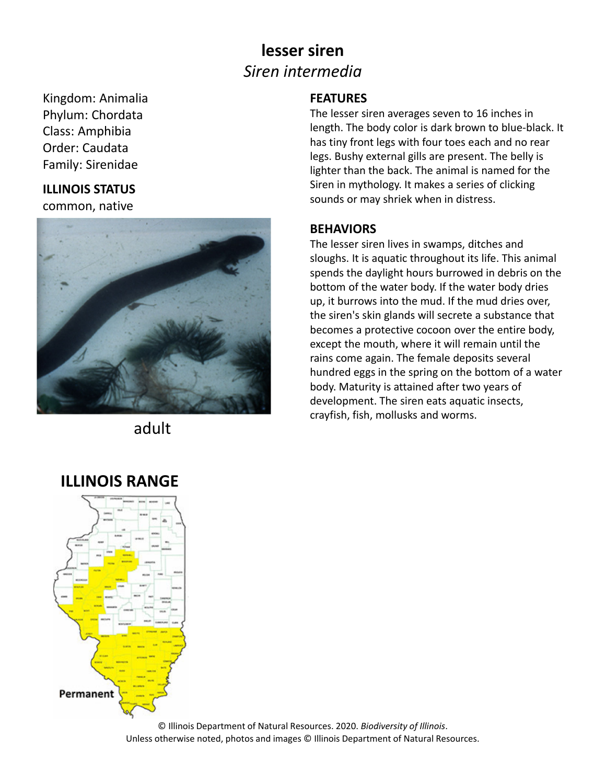## **lesser siren** *Siren intermedia*

Kingdom: Animalia Phylum: Chordata Class: Amphibia Order: Caudata Family: Sirenidae

### **ILLINOIS STATUS**

common, native



adult

### **FEATURES**

The lesser siren averages seven to 16 inches in length. The body color is dark brown to blue‐black. It has tiny front legs with four toes each and no rear legs. Bushy external gills are present. The belly is lighter than the back. The animal is named for the Siren in mythology. It makes a series of clicking sounds or may shriek when in distress.

#### **BEHAVIORS**

The lesser siren lives in swamps, ditches and sloughs. It is aquatic throughout its life. This animal spends the daylight hours burrowed in debris on the bottom of the water body. If the water body dries up, it burrows into the mud. If the mud dries over, the siren's skin glands will secrete a substance that becomes a protective cocoon over the entire body, except the mouth, where it will remain until the rains come again. The female deposits several hundred eggs in the spring on the bottom of a water body. Maturity is attained after two years of development. The siren eats aquatic insects, crayfish, fish, mollusks and worms.



© Illinois Department of Natural Resources. 2020. *Biodiversity of Illinois*. Unless otherwise noted, photos and images © Illinois Department of Natural Resources.

### **ILLINOIS RANGE**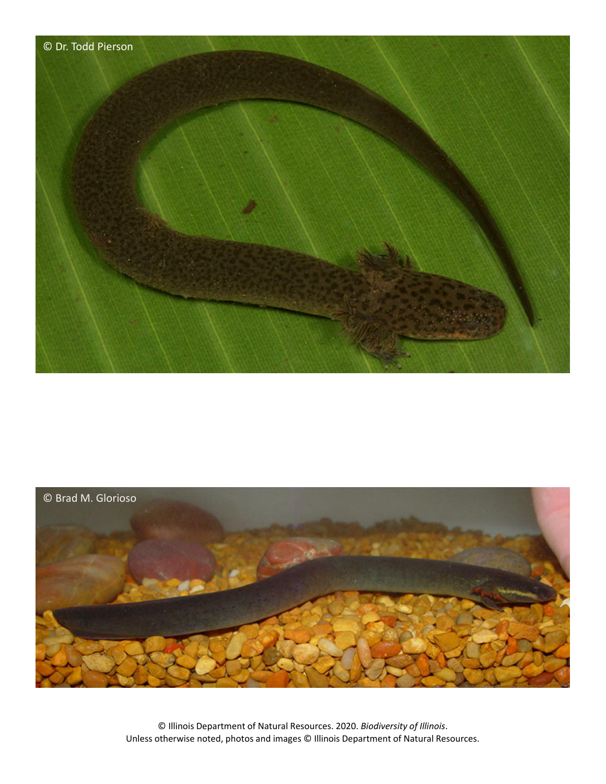



© Illinois Department of Natural Resources. 2020. *Biodiversity of Illinois*. Unless otherwise noted, photos and images © Illinois Department of Natural Resources.